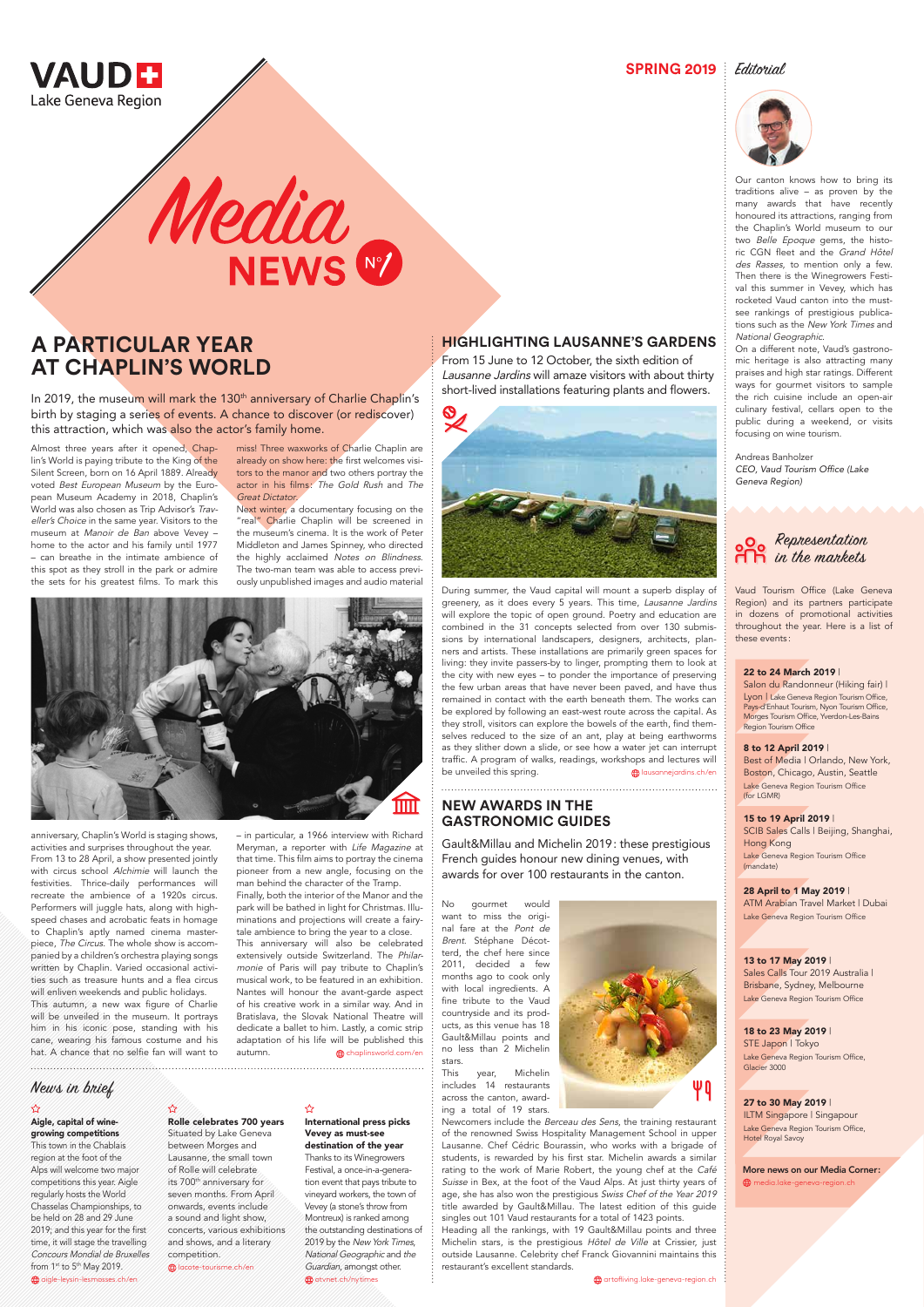

**SPRING 2019** Editorial



## **HIGHLIGHTING LAUSANNE'S GARDENS**

During summer, the Vaud capital will mount a superb display of greenery, as it does every 5 years. This time, Lausanne Jardins will explore the topic of open ground. Poetry and education are combined in the 31 concepts selected from over 130 submissions by international landscapers, designers, architects, planners and artists. These installations are primarily green spaces for living: they invite passers-by to linger, prompting them to look at the city with new eyes – to ponder the importance of preserving the few urban areas that have never been paved, and have thus remained in contact with the earth beneath them. The works can be explored by following an east-west route across the capital. As they stroll, visitors can explore the bowels of the earth, find themselves reduced to the size of an ant, play at being earthworms as they slither down a slide, or see how a water jet can interrupt traffic. A program of walks, readings, workshops and lectures will be unveiled this spring. lawsannejardins.ch/en

From 15 June to 12 October, the sixth edition of Lausanne Jardins will amaze visitors with about thirty short-lived installations featuring plants and flowers.



# **A PARTICULAR YEAR AT CHAPLIN'S WORLD**

In 2019, the museum will mark the 130<sup>th</sup> anniversary of Charlie Chaplin's birth by staging a series of events. A chance to discover (or rediscover) this attraction, which was also the actor's family home.

> Next winter, a documentary focusing on the "real" Charlie Chaplin will be screened in the museum's cinema. It is the work of Peter Middleton and James Spinney, who directed the highly acclaimed Notes on Blindness. The two-man team was able to access previously unpublished images and audio material



Almost three years after it opened, Chaplin's World is paying tribute to the King of the Silent Screen, born on 16 April 1889. Already voted Best European Museum by the European Museum Academy in 2018, Chaplin's World was also chosen as Trip Advisor's Traveller's Choice in the same year. Visitors to the museum at Manoir de Ban above Vevey – home to the actor and his family until 1977 – can breathe in the intimate ambience of this spot as they stroll in the park or admire the sets for his greatest films. To mark this

> Nantes will honour the avant-garde aspect of his creative work in a similar way. And in Bratislava, the Slovak National Theatre will dedicate a ballet to him. Lastly, a comic strip adaptation of his life will be published this autumn. **chaplinsworld.com/en**

anniversary, Chaplin's World is staging shows, activities and surprises throughout the year. From 13 to 28 April, a show presented jointly with circus school Alchimie will launch the festivities. Thrice-daily performances will recreate the ambience of a 1920s circus. Performers will juggle hats, along with highspeed chases and acrobatic feats in homage to Chaplin's aptly named cinema masterpiece, The Circus. The whole show is accompanied by a children's orchestra playing songs written by Chaplin. Varied occasional activities such as treasure hunts and a flea circus will enliven weekends and public holidays. This autumn, a new wax figure of Charlie will be unveiled in the museum. It portrays him in his iconic pose, standing with his cane, wearing his famous costume and his hat. A chance that no selfie fan will want to

miss! Three waxworks of Charlie Chaplin are already on show here: the first welcomes visitors to the manor and two others portray the actor in his films: The Gold Rush and The Great Dictator.

Media<br>NEWS

– in particular, a 1966 interview with Richard Meryman, a reporter with Life Magazine at that time. This film aims to portray the cinema pioneer from a new angle, focusing on the man behind the character of the Tramp. Finally, both the interior of the Manor and the park will be bathed in light for Christmas. Illuminations and projections will create a fairytale ambience to bring the year to a close. This anniversary will also be celebrated

> International press picks Vevey as must-see destination of the year Thanks to its Winegrowers Festival, a once-in-a-generation event that pays tribute to vineyard workers, the town of Vevey (a stone's throw from Montreux) is ranked among the outstanding destinations of 2019 by the New York Times, National Geographic and the Guardian, amongst other.  $\bigoplus$  otvnet.ch/nytimes

extensively outside Switzerland. The Philarmonie of Paris will pay tribute to Chaplin's musical work, to be featured in an exhibition.

Our canton knows how to bring its traditions alive – as proven by the many awards that have recently honoured its attractions, ranging from the Chaplin's World museum to our two Belle Epoque gems, the historic CGN fleet and the Grand Hôtel des Rasses, to mention only a few. Then there is the Winegrowers Festival this summer in Vevey, which has rocketed Vaud canton into the mustsee rankings of prestigious publications such as the New York Times and National Geographic.

On a different note, Vaud's gastronomic heritage is also attracting many praises and high star ratings. Different ways for gourmet visitors to sample the rich cuisine include an open-air culinary festival, cellars open to the public during a weekend, or visits focusing on wine tourism.

Andreas Banholzer CEO, Vaud Tourism Office (Lake Geneva Region)

## **NEW AWARDS IN THE GASTRONOMIC GUIDES**

Gault&Millau and Michelin 2019: these prestigious French guides honour new dining venues, with awards for over 100 restaurants in the canton.

No gourmet would want to miss the original fare at the Pont de Brent. Stéphane Décotterd, the chef here since 2011, decided a few months ago to cook only with local ingredients. A fine tribute to the Vaud countryside and its products, as this venue has 18 Gault&Millau points and no less than 2 Michelin stars.





This year, Michelin includes 14 restaurants across the canton, awarding a total of 19 stars.

Newcomers include the Berceau des Sens, the training restaurant of the renowned Swiss Hospitality Management School in upper Lausanne. Chef Cédric Bourassin, who works with a brigade of students, is rewarded by his first star. Michelin awards a similar rating to the work of Marie Robert, the young chef at the Café Suisse in Bex, at the foot of the Vaud Alps. At just thirty years of age, she has also won the prestigious Swiss Chef of the Year 2019 title awarded by Gault&Millau. The latest edition of this guide singles out 101 Vaud restaurants for a total of 1423 points. Heading all the rankings, with 19 Gault&Millau points and three Michelin stars, is the prestigious Hôtel de Ville at Crissier, just outside Lausanne. Celebrity chef Franck Giovannini maintains this restaurant's excellent standards.

 $\bigoplus$  artofliving.lake-geneva-region.ch:

Aigle, capital of winegrowing competitions This town in the Chablais region at the foot of the Alps will welcome two major competitions this year. Aigle regularly hosts the World Chasselas Championships, to

be held on 28 and 29 June 2019; and this year for the first time, it will stage the travelling Concours Mondial de Bruxelles

aigle-leysin-lesmosses.ch/en

from 1<sup>st</sup> to 5<sup>th</sup> May 2019.

 $\boldsymbol{\vec{\Sigma}}$ 

Rolle celebrates 700 years

#### ☆

Situated by Lake Geneva between Morges and Lausanne, the small town of Rolle will celebrate its 700<sup>th</sup> anniversary for seven months. From April onwards, events include a sound and light show, concerts, various exhibitions and shows, and a literary competition.

lacote-tourisme.ch/en

#### 22 to 24 March 2019 |

Salon du Randonneur (Hiking fair) | Lyon | Lake Geneva Region Tourism Office, Pays-d'Enhaut Tourism, Nyon Tourism Office, Morges Tourism Office, Yverdon-Les-Bains Region Tourism Office

#### 15 to 19 April 2019 |

SCIB Sales Calls | Beijing, Shanghai, Hong Kong Lake Geneva Region Tourism Office (mandate)

#### 8 to 12 April 2019 |

Best of Media | Orlando, New York, Boston, Chicago, Austin, Seattle Lake Geneva Region Tourism Office (for LGMR)

#### 28 April to 1 May 2019 | ATM Arabian Travel Market | Dubai Lake Geneva Region Tourism Office

### 13 to 17 May 2019 |

Sales Calls Tour 2019 Australia | Brisbane, Sydney, Melbourne

Lake Geneva Region Tourism Office

18 to 23 May 2019 | STE Japon | Tokyo Lake Geneva Region Tourism Office, Glacier 3000

27 to 30 May 2019 | ILTM Singapore | Singapour Lake Geneva Region Tourism Office, Hotel Royal Savoy

More news on our Media Corner: media.lake-geneva-region.ch

## News in brief



Vaud Tourism Office (Lake Geneva Region) and its partners participate in dozens of promotional activities throughout the year. Here is a list of these events :